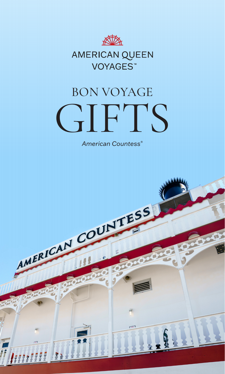

# AMERICAN QUEEN VOYAGES<sup>™</sup>

# BON VOYAGE **GIFTS**

*American Countess®*

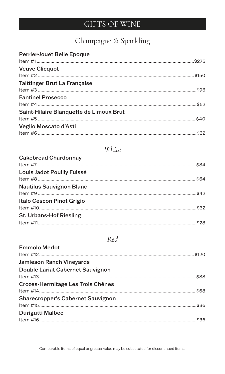## GIFTS OF WINE

## Champagne & Sparkling

| Perrier-Jouët Belle Epoque              |  |
|-----------------------------------------|--|
|                                         |  |
| <b>Veuve Clicquot</b>                   |  |
|                                         |  |
| <b>Taittinger Brut La Française</b>     |  |
|                                         |  |
| <b>Fantinel Prosecco</b>                |  |
|                                         |  |
| Saint-Hilaire Blanquette de Limoux Brut |  |
|                                         |  |
| Veglio Moscato d'Asti                   |  |
|                                         |  |

## White

| <b>Cakebread Chardonnay</b>      |  |
|----------------------------------|--|
| Louis Jadot Pouilly Fuissé       |  |
|                                  |  |
| <b>Nautilus Sauvignon Blanc</b>  |  |
|                                  |  |
| <b>Italo Cescon Pinot Grigio</b> |  |
|                                  |  |
| <b>St. Urbans-Hof Riesling</b>   |  |
|                                  |  |

## Red

| <b>Emmolo Merlot</b>                     |  |
|------------------------------------------|--|
| <b>Jamieson Ranch Vineyards</b>          |  |
| Double Lariat Cabernet Sauvignon         |  |
| Crozes-Hermitage Les Trois Chênes        |  |
| <b>Sharecropper's Cabernet Sauvignon</b> |  |
| <b>Durigutti Malbec</b>                  |  |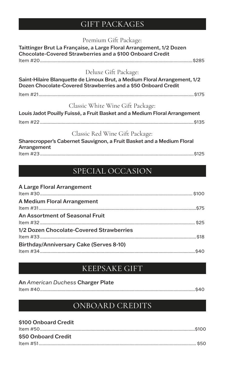## GIFT PACKAGES

#### Premium Gift Package:

## Taittinger Brut La Française, a Large Floral Arrangement, 1/2 Dozen Chocolate-Covered Strawberries and a \$100 Onboard Credit Item #20.........................................................................................................................\$285 Deluxe Gift Package: Saint-Hilaire Blanquette de Limoux Brut, a Medium Floral Arrangement, 1/2 Dozen Chocolate-Covered Strawberries and a \$50 Onboard Credit Item #21...........................................................................................................................\$175 Classic White Wine Gift Package: Louis Jadot Pouilly Fuissé, a Fruit Basket and a Medium Floral Arrangement Item #22 ..........................................................................................................................\$135 Classic Red Wine Gift Package:

Sharecropper's Cabernet Sauvignon, a Fruit Basket and a Medium Floral Arrangement Item #23..........................................................................................................................\$125

## SPECIAL OCCASION

#### A Large Floral Arrangement Item #30......................................................................................................................... \$100 A Medium Floral Arrangement Item #31.............................................................................................................................\$75 An Assortment of Seasonal Fruit Item #32 ........................................................................................................................... \$25 1/2 Dozen Chocolate-Covered Strawberries Item #33............................................................................................................................\$18 Birthday/Anniversary Cake (Serves 8-10) Item #34...........................................................................................................................\$40

## KEEPSAKE GIFT

| An American Duchess Charger Plate |  |
|-----------------------------------|--|
|                                   |  |

## ONBOARD CREDITS

| \$100 Onboard Credit |  |
|----------------------|--|
|                      |  |
| \$50 Onboard Credit  |  |
|                      |  |